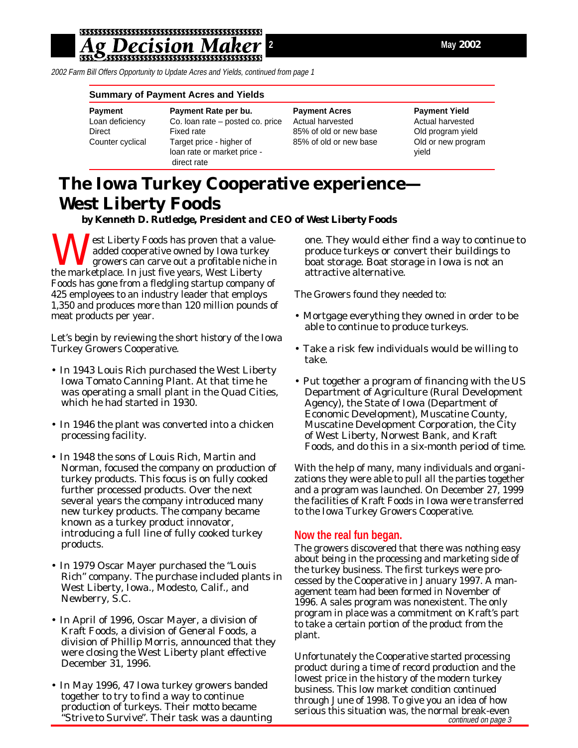2002 Farm Bill Offers Opportunity to Update Acres and Yields, continued from page 1

#### **Summary of Payment Acres and Yields**

| Payment          |
|------------------|
| Loan deficiency  |
| Direct           |
| Counter cyclical |
|                  |

**Payment Payment Rate per bu. Payment Acres Payment Yield** Co. loan rate – posted co. price Actual harvested **Actual harvested** Actual harvested Fixed rate **EXECUTE:** 85% of old or new base Old program yield Target price - higher of 85% of old or new base Old or new program loan rate or market price - yield direct rate

# **The Iowa Turkey Cooperative experience— West Liberty Foods**

*by Kenneth D. Rutledge, President and CEO of West Liberty Foods*

**J** est Liberty Foods has proven that a valueadded cooperative owned by Iowa turkey growers can carve out a profitable niche in the marketplace. In just five years, West Liberty Foods has gone from a fledgling startup company of 425 employees to an industry leader that employs 1,350 and produces more than 120 million pounds of meat products per year.

Let's begin by reviewing the short history of the Iowa Turkey Growers Cooperative.

- In 1943 Louis Rich purchased the West Liberty Iowa Tomato Canning Plant. At that time he was operating a small plant in the Quad Cities, which he had started in 1930.
- In 1946 the plant was converted into a chicken processing facility.
- In 1948 the sons of Louis Rich, Martin and Norman, focused the company on production of turkey products. This focus is on fully cooked further processed products. Over the next several years the company introduced many new turkey products. The company became known as a turkey product innovator, introducing a full line of fully cooked turkey products.
- In 1979 Oscar Mayer purchased the "Louis Rich" company. The purchase included plants in West Liberty, Iowa., Modesto, Calif., and Newberry, S.C.
- In April of 1996, Oscar Mayer, a division of Kraft Foods, a division of General Foods, a division of Phillip Morris, announced that they were closing the West Liberty plant effective December 31, 1996.
- In May 1996, 47 Iowa turkey growers banded together to try to find a way to continue production of turkeys. Their motto became *"Strive to Survive".* Their task was a daunting

one. They would either find a way to continue to produce turkeys or convert their buildings to boat storage. Boat storage in Iowa is not an attractive alternative.

The Growers found they needed to:

- Mortgage everything they owned in order to be able to continue to produce turkeys.
- Take a risk few individuals would be willing to take.
- Put together a program of financing with the US Department of Agriculture (Rural Development Agency), the State of Iowa (Department of Economic Development), Muscatine County, Muscatine Development Corporation, the City of West Liberty, Norwest Bank, and Kraft Foods, and do this in a six-month period of time.

With the help of many, many individuals and organizations they were able to pull all the parties together and a program was launched. On December 27, 1999 the facilities of Kraft Foods in Iowa were transferred to the Iowa Turkey Growers Cooperative.

### **Now the real fun began.**

The growers discovered that there was nothing easy about being in the processing and marketing side of the turkey business. The first turkeys were processed by the Cooperative in January 1997. A management team had been formed in November of 1996. A sales program was nonexistent. The only program in place was a commitment on Kraft's part to take a certain portion of the product from the plant.

continued on page 3 Unfortunately the Cooperative started processing product during a time of record production and the lowest price in the history of the modern turkey business. This low market condition continued through June of 1998. To give you an idea of how serious this situation was, the normal break-even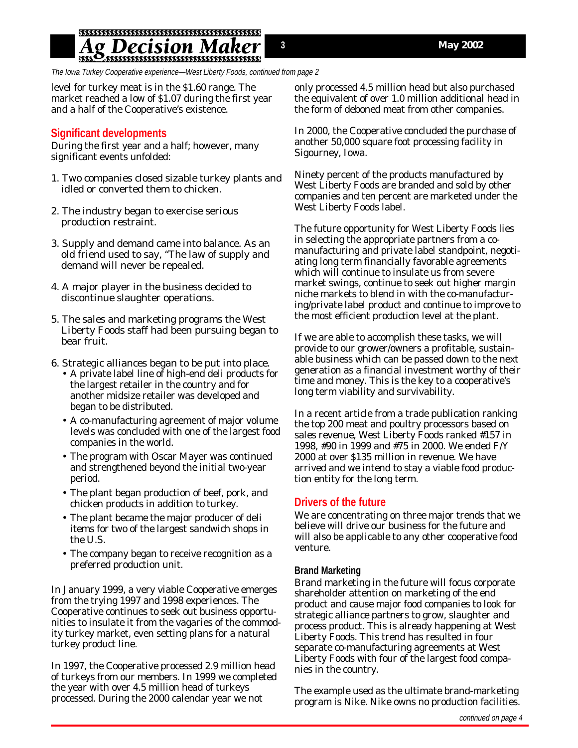## <u>Ag Decision Maker</u>

The Iowa Turkey Cooperative experience—West Liberty Foods, continued from page 2

level for turkey meat is in the \$1.60 range. The market reached a low of \$1.07 during the first year and a half of the Cooperative's existence.

#### **Significant developments**

During the first year and a half; however, many significant events unfolded:

- 1. Two companies closed sizable turkey plants and idled or converted them to chicken.
- 2. The industry began to exercise serious production restraint.
- 3. Supply and demand came into balance. As an old friend used to say, "The law of supply and demand will never be repealed.
- 4. A major player in the business decided to discontinue slaughter operations.
- 5. The sales and marketing programs the West Liberty Foods staff had been pursuing began to bear fruit.
- 6. Strategic alliances began to be put into place.
	- A private label line of high-end deli products for the largest retailer in the country and for another midsize retailer was developed and began to be distributed.
	- A co-manufacturing agreement of major volume levels was concluded with one of the largest food companies in the world.
	- The program with Oscar Mayer was continued and strengthened beyond the initial two-year period.
	- The plant began production of beef, pork, and chicken products in addition to turkey.
	- The plant became the major producer of deli items for two of the largest sandwich shops in the U.S.
	- The company began to receive recognition as a preferred production unit.

In January 1999, a very viable Cooperative emerges from the trying 1997 and 1998 experiences. The Cooperative continues to seek out business opportunities to insulate it from the vagaries of the commodity turkey market, even setting plans for a natural turkey product line.

In 1997, the Cooperative processed 2.9 million head of turkeys from our members. In 1999 we completed the year with over 4.5 million head of turkeys processed. During the 2000 calendar year we not

only processed 4.5 million head but also purchased the equivalent of over 1.0 million additional head in the form of deboned meat from other companies.

In 2000, the Cooperative concluded the purchase of another 50,000 square foot processing facility in Sigourney, Iowa.

Ninety percent of the products manufactured by West Liberty Foods are branded and sold by other companies and ten percent are marketed under the West Liberty Foods label.

The future opportunity for West Liberty Foods lies in selecting the appropriate partners from a comanufacturing and private label standpoint, negotiating long term financially favorable agreements which will continue to insulate us from severe market swings, continue to seek out higher margin niche markets to blend in with the co-manufacturing/private label product and continue to improve to the most efficient production level at the plant.

If we are able to accomplish these tasks, we will provide to our grower/owners a profitable, sustainable business which can be passed down to the next generation as a financial investment worthy of their time and money. This is the key to a cooperative's long term viability and survivability.

In a recent article from a trade publication ranking the top 200 meat and poultry processors based on sales revenue, West Liberty Foods ranked #157 in 1998, #90 in 1999 and #75 in 2000. We ended F/Y 2000 at over \$135 million in revenue. We have arrived and we intend to stay a viable food production entity for the long term.

#### **Drivers of the future**

We are concentrating on three major trends that we believe will drive our business for the future and will also be applicable to any other cooperative food venture.

#### **Brand Marketing**

Brand marketing in the future will focus corporate shareholder attention on marketing of the end product and cause major food companies to look for strategic alliance partners to grow, slaughter and process product. This is already happening at West Liberty Foods. This trend has resulted in four separate co-manufacturing agreements at West Liberty Foods with four of the largest food companies in the country.

The example used as the ultimate brand-marketing program is Nike. Nike owns no production facilities.